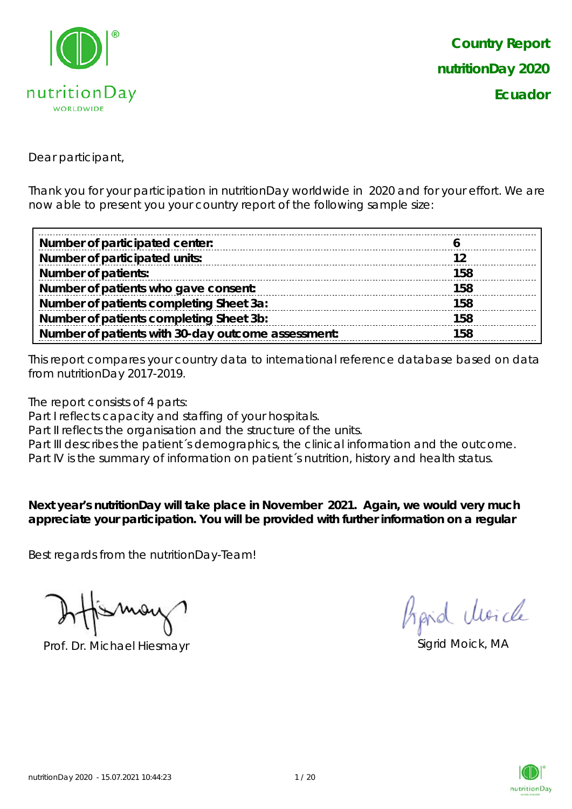

Dear participant,

Thank you for your participation in nutritionDay worldwide in 2020 and for your effort. We are now able to present you your country report of the following sample size:

| Number of participated center:                     |     |
|----------------------------------------------------|-----|
| Number of participated units:                      |     |
| <b>Number of patients:</b>                         | 158 |
| Number of patients who gave consent:               | 158 |
| Number of patients completing Sheet 3a:            | 158 |
| Number of patients completing Sheet 3b:            | 158 |
| Number of patients with 30-day outcome assessment: | 158 |

This report compares your country data to international reference database based on data from nutritionDay 2017-2019.

The report consists of 4 parts:

Part I reflects capacity and staffing of your hospitals.

Part II reflects the organisation and the structure of the units.

Part III describes the patient's demographics, the clinical information and the outcome.

Part IV is the summary of information on patient´s nutrition, history and health status.

**Next year's nutritionDay will take place in November 2021. Again, we would very much appreciate your participation. You will be provided with further information on a regular** 

Best regards from the nutritionDay-Team!

Prof. Dr. Michael Hiesmayr Sigrid Moick, MA

Aprid Moich

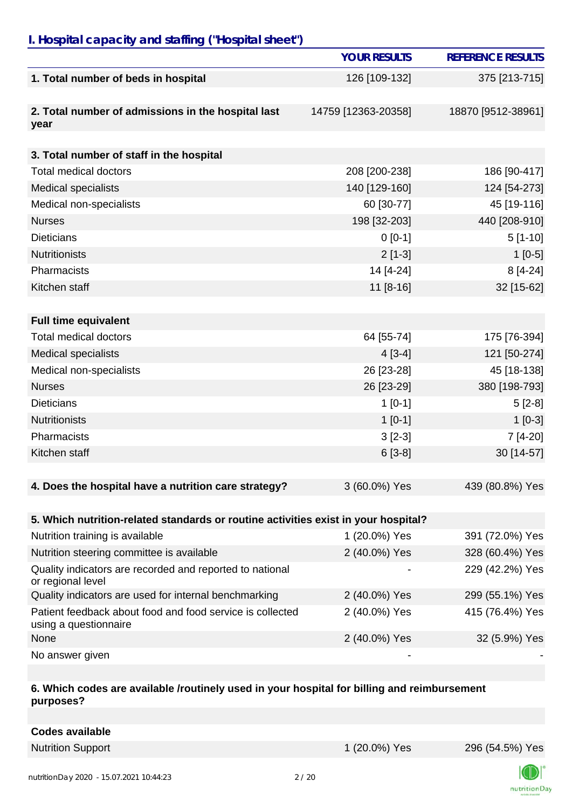## *I. Hospital capacity and staffing ("Hospital sheet")*

|                                                                                    | <b>YOUR RESULTS</b> | <b>REFERENCE RESULTS</b> |
|------------------------------------------------------------------------------------|---------------------|--------------------------|
| 1. Total number of beds in hospital                                                | 126 [109-132]       | 375 [213-715]            |
|                                                                                    |                     |                          |
| 2. Total number of admissions in the hospital last                                 | 14759 [12363-20358] | 18870 [9512-38961]       |
| year                                                                               |                     |                          |
| 3. Total number of staff in the hospital                                           |                     |                          |
| <b>Total medical doctors</b>                                                       | 208 [200-238]       | 186 [90-417]             |
| <b>Medical specialists</b>                                                         | 140 [129-160]       | 124 [54-273]             |
| Medical non-specialists                                                            | 60 [30-77]          | 45 [19-116]              |
| <b>Nurses</b>                                                                      | 198 [32-203]        | 440 [208-910]            |
| <b>Dieticians</b>                                                                  | $0 [0-1]$           | $5[1-10]$                |
| <b>Nutritionists</b>                                                               | $2[1-3]$            | $1[0-5]$                 |
| Pharmacists                                                                        | 14 [4-24]           | $8[4-24]$                |
| Kitchen staff                                                                      | 11 [8-16]           | 32 [15-62]               |
|                                                                                    |                     |                          |
| <b>Full time equivalent</b>                                                        |                     |                          |
| <b>Total medical doctors</b>                                                       | 64 [55-74]          | 175 [76-394]             |
| <b>Medical specialists</b>                                                         | $4[3-4]$            | 121 [50-274]             |
| Medical non-specialists                                                            | 26 [23-28]          | 45 [18-138]              |
| <b>Nurses</b>                                                                      | 26 [23-29]          | 380 [198-793]            |
| <b>Dieticians</b>                                                                  | $1[0-1]$            | $5[2-8]$                 |
| <b>Nutritionists</b>                                                               | $1[0-1]$            | $1[0-3]$                 |
| Pharmacists                                                                        | $3[2-3]$            | 7 [4-20]                 |
| Kitchen staff                                                                      | $6[3-8]$            | 30 [14-57]               |
|                                                                                    |                     |                          |
| 4. Does the hospital have a nutrition care strategy?                               | 3 (60.0%) Yes       | 439 (80.8%) Yes          |
|                                                                                    |                     |                          |
| 5. Which nutrition-related standards or routine activities exist in your hospital? |                     |                          |
| Nutrition training is available                                                    | 1 (20.0%) Yes       | 391 (72.0%) Yes          |
| Nutrition steering committee is available                                          | 2 (40.0%) Yes       | 328 (60.4%) Yes          |
| Quality indicators are recorded and reported to national<br>or regional level      |                     | 229 (42.2%) Yes          |
| Quality indicators are used for internal benchmarking                              | 2 (40.0%) Yes       | 299 (55.1%) Yes          |
| Patient feedback about food and food service is collected<br>using a questionnaire | 2 (40.0%) Yes       | 415 (76.4%) Yes          |
| None                                                                               | 2 (40.0%) Yes       | 32 (5.9%) Yes            |
| No answer given                                                                    |                     |                          |

#### **6. Which codes are available /routinely used in your hospital for billing and reimbursement purposes?**

| <b>Codes available</b> |  |
|------------------------|--|
|                        |  |

Nutrition Support 1 (20.0%) Yes 296 (54.5%) Yes



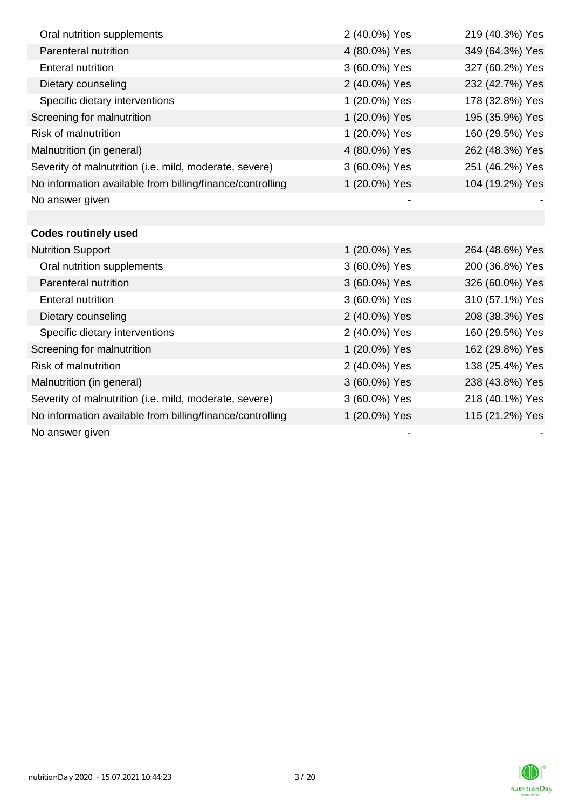| Oral nutrition supplements                                | 2 (40.0%) Yes | 219 (40.3%) Yes |
|-----------------------------------------------------------|---------------|-----------------|
| Parenteral nutrition                                      | 4 (80.0%) Yes | 349 (64.3%) Yes |
| <b>Enteral nutrition</b>                                  | 3 (60.0%) Yes | 327 (60.2%) Yes |
| Dietary counseling                                        | 2 (40.0%) Yes | 232 (42.7%) Yes |
| Specific dietary interventions                            | 1 (20.0%) Yes | 178 (32.8%) Yes |
| Screening for malnutrition                                | 1 (20.0%) Yes | 195 (35.9%) Yes |
| <b>Risk of malnutrition</b>                               | 1 (20.0%) Yes | 160 (29.5%) Yes |
| Malnutrition (in general)                                 | 4 (80.0%) Yes | 262 (48.3%) Yes |
| Severity of malnutrition (i.e. mild, moderate, severe)    | 3 (60.0%) Yes | 251 (46.2%) Yes |
| No information available from billing/finance/controlling | 1 (20.0%) Yes | 104 (19.2%) Yes |
| No answer given                                           |               |                 |
|                                                           |               |                 |
| <b>Codes routinely used</b>                               |               |                 |
| <b>Nutrition Support</b>                                  | 1 (20.0%) Yes | 264 (48.6%) Yes |
| Oral nutrition supplements                                | 3 (60.0%) Yes | 200 (36.8%) Yes |
| Parenteral nutrition                                      | 3 (60.0%) Yes | 326 (60.0%) Yes |
| <b>Enteral nutrition</b>                                  | 3 (60.0%) Yes | 310 (57.1%) Yes |
| Dietary counseling                                        | 2 (40.0%) Yes | 208 (38.3%) Yes |
| Specific dietary interventions                            | 2 (40.0%) Yes | 160 (29.5%) Yes |
| Screening for malnutrition                                | 1 (20.0%) Yes | 162 (29.8%) Yes |
| <b>Risk of malnutrition</b>                               | 2 (40.0%) Yes | 138 (25.4%) Yes |
| Malnutrition (in general)                                 | 3 (60.0%) Yes | 238 (43.8%) Yes |
| Severity of malnutrition (i.e. mild, moderate, severe)    | 3 (60.0%) Yes | 218 (40.1%) Yes |
| No information available from billing/finance/controlling | 1 (20.0%) Yes | 115 (21.2%) Yes |
| No answer given                                           |               |                 |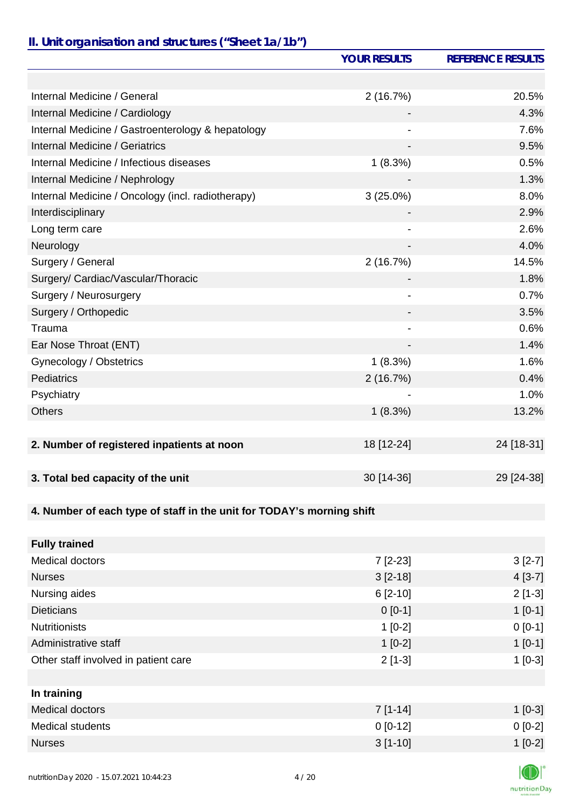# *II. Unit organisation and structures ("Sheet 1a/1b")*

|                                                                       | <b>YOUR RESULTS</b> | <b>REFERENCE RESULTS</b> |
|-----------------------------------------------------------------------|---------------------|--------------------------|
|                                                                       |                     |                          |
| Internal Medicine / General                                           | 2(16.7%)            | 20.5%                    |
| Internal Medicine / Cardiology                                        |                     | 4.3%                     |
| Internal Medicine / Gastroenterology & hepatology                     |                     | 7.6%                     |
| Internal Medicine / Geriatrics                                        |                     | 9.5%                     |
| Internal Medicine / Infectious diseases                               | 1(8.3%)             | 0.5%                     |
| Internal Medicine / Nephrology                                        |                     | 1.3%                     |
| Internal Medicine / Oncology (incl. radiotherapy)                     | $3(25.0\%)$         | 8.0%                     |
| Interdisciplinary                                                     |                     | 2.9%                     |
| Long term care                                                        |                     | 2.6%                     |
| Neurology                                                             |                     | 4.0%                     |
| Surgery / General                                                     | 2(16.7%)            | 14.5%                    |
| Surgery/ Cardiac/Vascular/Thoracic                                    |                     | 1.8%                     |
| Surgery / Neurosurgery                                                |                     | 0.7%                     |
| Surgery / Orthopedic                                                  |                     | 3.5%                     |
| Trauma                                                                | -                   | 0.6%                     |
| Ear Nose Throat (ENT)                                                 |                     | 1.4%                     |
| Gynecology / Obstetrics                                               | 1(8.3%)             | 1.6%                     |
| <b>Pediatrics</b>                                                     | 2(16.7%)            | 0.4%                     |
| Psychiatry                                                            |                     | 1.0%                     |
| <b>Others</b>                                                         | 1(8.3%)             | 13.2%                    |
|                                                                       |                     |                          |
| 2. Number of registered inpatients at noon                            | 18 [12-24]          | 24 [18-31]               |
|                                                                       |                     |                          |
| 3. Total bed capacity of the unit                                     | 30 [14-36]          | 29 [24-38]               |
|                                                                       |                     |                          |
| 4. Number of each type of staff in the unit for TODAY's morning shift |                     |                          |
|                                                                       |                     |                          |
| <b>Fully trained</b>                                                  |                     |                          |
| Medical doctors                                                       | $7[2-23]$           | $3[2-7]$                 |
| <b>Nurses</b>                                                         | $3 [2 - 18]$        | $4[3-7]$                 |
| Nursing aides                                                         | 6 [2-10]            | $2[1-3]$                 |
| <b>Dieticians</b>                                                     | $0[0-1]$            | $1[0-1]$                 |
| <b>Nutritionists</b>                                                  | $1[0-2]$            | $0[0-1]$                 |
| Administrative staff                                                  | $1[0-2]$            | $1[0-1]$                 |
| Other staff involved in patient care                                  | $2[1-3]$            | $1[0-3]$                 |
|                                                                       |                     |                          |
| In training                                                           |                     |                          |
| Medical doctors                                                       | $7[1-14]$           | $1[0-3]$                 |
| Medical students                                                      | $0 [0-12]$          | $0[0-2]$                 |
| <b>Nurses</b>                                                         | $3[1-10]$           | $1[0-2]$                 |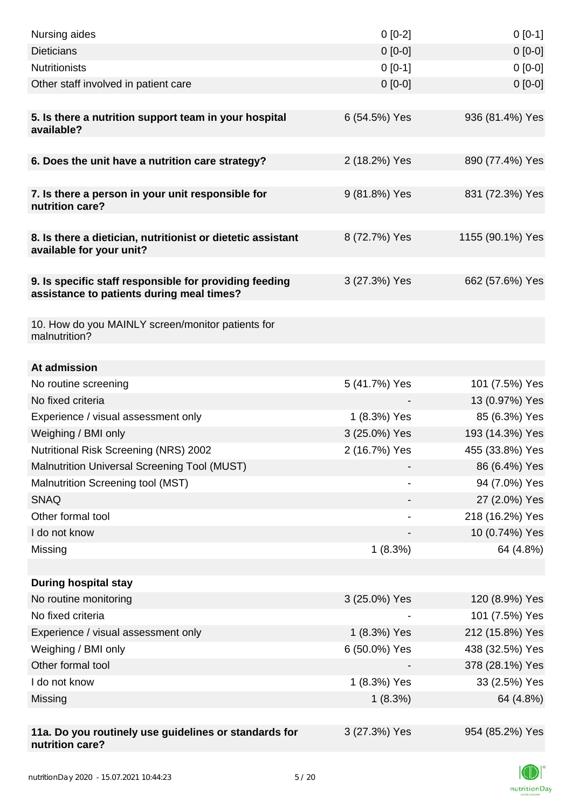| Nursing aides                                                                                       | $0[0-2]$      | $0[0-1]$         |
|-----------------------------------------------------------------------------------------------------|---------------|------------------|
| <b>Dieticians</b>                                                                                   | $0 [0-0]$     | $0[0-0]$         |
| <b>Nutritionists</b>                                                                                | $0[0-1]$      | $0[0-0]$         |
| Other staff involved in patient care                                                                | $0 [0-0]$     | $0 [0-0]$        |
|                                                                                                     |               |                  |
| 5. Is there a nutrition support team in your hospital<br>available?                                 | 6 (54.5%) Yes | 936 (81.4%) Yes  |
| 6. Does the unit have a nutrition care strategy?                                                    | 2 (18.2%) Yes | 890 (77.4%) Yes  |
|                                                                                                     |               |                  |
| 7. Is there a person in your unit responsible for<br>nutrition care?                                | 9 (81.8%) Yes | 831 (72.3%) Yes  |
| 8. Is there a dietician, nutritionist or dietetic assistant<br>available for your unit?             | 8 (72.7%) Yes | 1155 (90.1%) Yes |
|                                                                                                     |               |                  |
| 9. Is specific staff responsible for providing feeding<br>assistance to patients during meal times? | 3 (27.3%) Yes | 662 (57.6%) Yes  |
|                                                                                                     |               |                  |
| 10. How do you MAINLY screen/monitor patients for<br>malnutrition?                                  |               |                  |
| At admission                                                                                        |               |                  |
| No routine screening                                                                                | 5 (41.7%) Yes | 101 (7.5%) Yes   |
| No fixed criteria                                                                                   |               | 13 (0.97%) Yes   |
| Experience / visual assessment only                                                                 | 1 (8.3%) Yes  | 85 (6.3%) Yes    |
| Weighing / BMI only                                                                                 | 3 (25.0%) Yes | 193 (14.3%) Yes  |
| <b>Nutritional Risk Screening (NRS) 2002</b>                                                        | 2 (16.7%) Yes | 455 (33.8%) Yes  |
| Malnutrition Universal Screening Tool (MUST)                                                        |               | 86 (6.4%) Yes    |
| Malnutrition Screening tool (MST)                                                                   |               | 94 (7.0%) Yes    |
| <b>SNAQ</b>                                                                                         |               | 27 (2.0%) Yes    |
| Other formal tool                                                                                   |               | 218 (16.2%) Yes  |
| I do not know                                                                                       |               | 10 (0.74%) Yes   |
| Missing                                                                                             | 1(8.3%)       | 64 (4.8%)        |
|                                                                                                     |               |                  |
| <b>During hospital stay</b>                                                                         |               |                  |
| No routine monitoring                                                                               | 3 (25.0%) Yes | 120 (8.9%) Yes   |
| No fixed criteria                                                                                   |               | 101 (7.5%) Yes   |
| Experience / visual assessment only                                                                 | 1 (8.3%) Yes  | 212 (15.8%) Yes  |
| Weighing / BMI only                                                                                 | 6 (50.0%) Yes | 438 (32.5%) Yes  |
| Other formal tool                                                                                   |               | 378 (28.1%) Yes  |
| I do not know                                                                                       | 1 (8.3%) Yes  | 33 (2.5%) Yes    |
| Missing                                                                                             | 1(8.3%)       | 64 (4.8%)        |
|                                                                                                     |               |                  |
| 11a. Do you routinely use guidelines or standards for<br>nutrition care?                            | 3 (27.3%) Yes | 954 (85.2%) Yes  |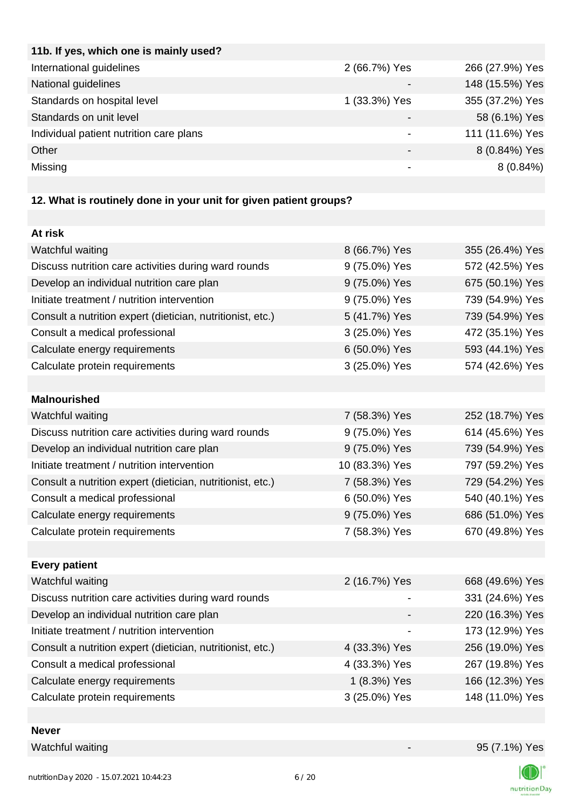| 2 (66.7%) Yes | 266 (27.9%) Yes |
|---------------|-----------------|
|               | 148 (15.5%) Yes |
| 1 (33.3%) Yes | 355 (37.2%) Yes |
|               | 58 (6.1%) Yes   |
|               | 111 (11.6%) Yes |
| -             | 8 (0.84%) Yes   |
|               | $8(0.84\%)$     |
|               |                 |

## **12. What is routinely done in your unit for given patient groups?**

| At risk                                                    |                |                 |
|------------------------------------------------------------|----------------|-----------------|
| Watchful waiting                                           | 8 (66.7%) Yes  | 355 (26.4%) Yes |
| Discuss nutrition care activities during ward rounds       | 9 (75.0%) Yes  | 572 (42.5%) Yes |
| Develop an individual nutrition care plan                  | 9 (75.0%) Yes  | 675 (50.1%) Yes |
| Initiate treatment / nutrition intervention                | 9 (75.0%) Yes  | 739 (54.9%) Yes |
| Consult a nutrition expert (dietician, nutritionist, etc.) | 5 (41.7%) Yes  | 739 (54.9%) Yes |
| Consult a medical professional                             | 3 (25.0%) Yes  | 472 (35.1%) Yes |
| Calculate energy requirements                              | 6 (50.0%) Yes  | 593 (44.1%) Yes |
| Calculate protein requirements                             | 3 (25.0%) Yes  | 574 (42.6%) Yes |
|                                                            |                |                 |
| <b>Malnourished</b>                                        |                |                 |
| Watchful waiting                                           | 7 (58.3%) Yes  | 252 (18.7%) Yes |
| Discuss nutrition care activities during ward rounds       | 9 (75.0%) Yes  | 614 (45.6%) Yes |
| Develop an individual nutrition care plan                  | 9 (75.0%) Yes  | 739 (54.9%) Yes |
| Initiate treatment / nutrition intervention                | 10 (83.3%) Yes | 797 (59.2%) Yes |
| Consult a nutrition expert (dietician, nutritionist, etc.) | 7 (58.3%) Yes  | 729 (54.2%) Yes |
| Consult a medical professional                             | 6 (50.0%) Yes  | 540 (40.1%) Yes |
| Calculate energy requirements                              | 9 (75.0%) Yes  | 686 (51.0%) Yes |
| Calculate protein requirements                             | 7 (58.3%) Yes  | 670 (49.8%) Yes |
|                                                            |                |                 |
| <b>Every patient</b>                                       |                |                 |
| Watchful waiting                                           | 2 (16.7%) Yes  | 668 (49.6%) Yes |
| Discuss nutrition care activities during ward rounds       |                | 331 (24.6%) Yes |
| Develop an individual nutrition care plan                  |                | 220 (16.3%) Yes |
| Initiate treatment / nutrition intervention                |                | 173 (12.9%) Yes |
| Consult a nutrition expert (dietician, nutritionist, etc.) | 4 (33.3%) Yes  | 256 (19.0%) Yes |
| Consult a medical professional                             | 4 (33.3%) Yes  | 267 (19.8%) Yes |
| Calculate energy requirements                              | 1 (8.3%) Yes   | 166 (12.3%) Yes |
| Calculate protein requirements                             | 3 (25.0%) Yes  | 148 (11.0%) Yes |
|                                                            |                |                 |

**Never**

Watchful waiting  $95 (7.1\%)$  Yes



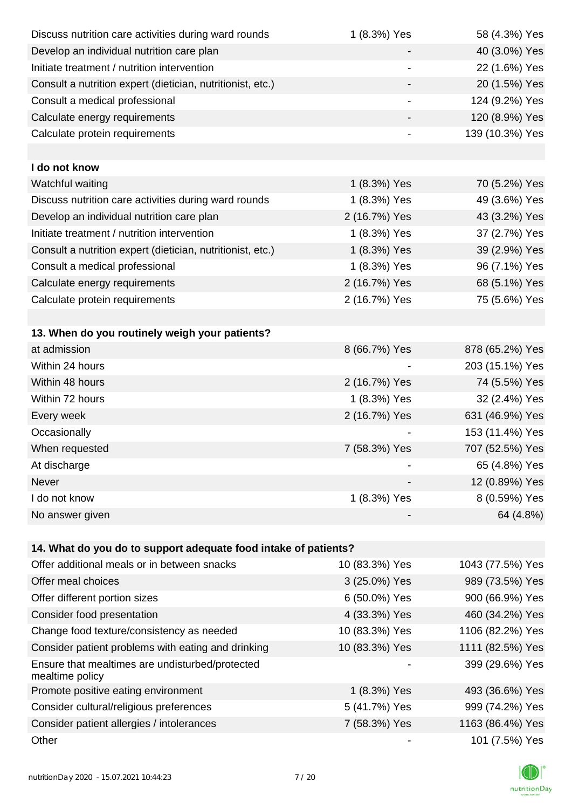| Discuss nutrition care activities during ward rounds               | 1 (8.3%) Yes   | 58 (4.3%) Yes    |
|--------------------------------------------------------------------|----------------|------------------|
| Develop an individual nutrition care plan                          |                | 40 (3.0%) Yes    |
| Initiate treatment / nutrition intervention                        |                | 22 (1.6%) Yes    |
| Consult a nutrition expert (dietician, nutritionist, etc.)         | -              | 20 (1.5%) Yes    |
| Consult a medical professional                                     |                | 124 (9.2%) Yes   |
| Calculate energy requirements                                      |                | 120 (8.9%) Yes   |
| Calculate protein requirements                                     |                | 139 (10.3%) Yes  |
|                                                                    |                |                  |
| I do not know                                                      |                |                  |
| Watchful waiting                                                   | 1 (8.3%) Yes   | 70 (5.2%) Yes    |
| Discuss nutrition care activities during ward rounds               | 1 (8.3%) Yes   | 49 (3.6%) Yes    |
| Develop an individual nutrition care plan                          | 2 (16.7%) Yes  | 43 (3.2%) Yes    |
| Initiate treatment / nutrition intervention                        | 1 (8.3%) Yes   | 37 (2.7%) Yes    |
| Consult a nutrition expert (dietician, nutritionist, etc.)         | 1 (8.3%) Yes   | 39 (2.9%) Yes    |
| Consult a medical professional                                     | 1 (8.3%) Yes   | 96 (7.1%) Yes    |
| Calculate energy requirements                                      | 2 (16.7%) Yes  | 68 (5.1%) Yes    |
| Calculate protein requirements                                     | 2 (16.7%) Yes  | 75 (5.6%) Yes    |
|                                                                    |                |                  |
| 13. When do you routinely weigh your patients?                     |                |                  |
| at admission                                                       | 8 (66.7%) Yes  | 878 (65.2%) Yes  |
| Within 24 hours                                                    |                | 203 (15.1%) Yes  |
| Within 48 hours                                                    | 2 (16.7%) Yes  | 74 (5.5%) Yes    |
| Within 72 hours                                                    | 1 (8.3%) Yes   | 32 (2.4%) Yes    |
| Every week                                                         | 2 (16.7%) Yes  | 631 (46.9%) Yes  |
| Occasionally                                                       |                | 153 (11.4%) Yes  |
| When requested                                                     | 7 (58.3%) Yes  | 707 (52.5%) Yes  |
| At discharge                                                       |                | 65 (4.8%) Yes    |
| Never                                                              |                | 12 (0.89%) Yes   |
| I do not know                                                      | 1 (8.3%) Yes   | 8 (0.59%) Yes    |
| No answer given                                                    |                | 64 (4.8%)        |
|                                                                    |                |                  |
| 14. What do you do to support adequate food intake of patients?    |                |                  |
| Offer additional meals or in between snacks                        | 10 (83.3%) Yes | 1043 (77.5%) Yes |
| Offer meal choices                                                 | 3 (25.0%) Yes  | 989 (73.5%) Yes  |
| Offer different portion sizes                                      | 6 (50.0%) Yes  | 900 (66.9%) Yes  |
| Consider food presentation                                         | 4 (33.3%) Yes  | 460 (34.2%) Yes  |
| Change food texture/consistency as needed                          | 10 (83.3%) Yes | 1106 (82.2%) Yes |
| Consider patient problems with eating and drinking                 | 10 (83.3%) Yes | 1111 (82.5%) Yes |
| Ensure that mealtimes are undisturbed/protected<br>mealtime policy |                | 399 (29.6%) Yes  |
| Promote positive eating environment                                | 1 (8.3%) Yes   | 493 (36.6%) Yes  |
| Consider cultural/religious preferences                            | 5 (41.7%) Yes  | 999 (74.2%) Yes  |
| Consider patient allergies / intolerances                          | 7 (58.3%) Yes  | 1163 (86.4%) Yes |
| Other                                                              |                | 101 (7.5%) Yes   |

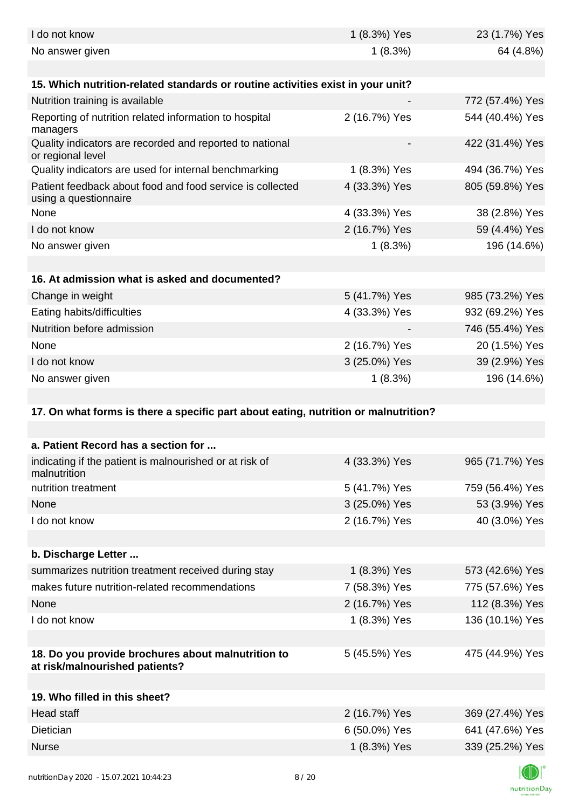| I do not know                                                                        | 1 (8.3%) Yes  | 23 (1.7%) Yes   |
|--------------------------------------------------------------------------------------|---------------|-----------------|
| No answer given                                                                      | 1(8.3%)       | 64 (4.8%)       |
| 15. Which nutrition-related standards or routine activities exist in your unit?      |               |                 |
| Nutrition training is available                                                      |               | 772 (57.4%) Yes |
| Reporting of nutrition related information to hospital<br>managers                   | 2 (16.7%) Yes | 544 (40.4%) Yes |
| Quality indicators are recorded and reported to national<br>or regional level        |               | 422 (31.4%) Yes |
| Quality indicators are used for internal benchmarking                                | 1 (8.3%) Yes  | 494 (36.7%) Yes |
| Patient feedback about food and food service is collected<br>using a questionnaire   | 4 (33.3%) Yes | 805 (59.8%) Yes |
| None                                                                                 | 4 (33.3%) Yes | 38 (2.8%) Yes   |
| I do not know                                                                        | 2 (16.7%) Yes | 59 (4.4%) Yes   |
| No answer given                                                                      | 1(8.3%)       | 196 (14.6%)     |
|                                                                                      |               |                 |
| 16. At admission what is asked and documented?                                       |               |                 |
| Change in weight                                                                     | 5 (41.7%) Yes | 985 (73.2%) Yes |
| Eating habits/difficulties                                                           | 4 (33.3%) Yes | 932 (69.2%) Yes |
| Nutrition before admission                                                           |               | 746 (55.4%) Yes |
| None                                                                                 | 2 (16.7%) Yes | 20 (1.5%) Yes   |
| I do not know                                                                        | 3 (25.0%) Yes | 39 (2.9%) Yes   |
| No answer given                                                                      | 1(8.3%)       | 196 (14.6%)     |
|                                                                                      |               |                 |
| 17. On what forms is there a specific part about eating, nutrition or malnutrition?  |               |                 |
| a. Patient Record has a section for                                                  |               |                 |
| indicating if the patient is malnourished or at risk of<br>malnutrition              | 4 (33.3%) Yes | 965 (71.7%) Yes |
| nutrition treatment                                                                  | 5 (41.7%) Yes | 759 (56.4%) Yes |
| None                                                                                 | 3 (25.0%) Yes | 53 (3.9%) Yes   |
| I do not know                                                                        | 2 (16.7%) Yes | 40 (3.0%) Yes   |
|                                                                                      |               |                 |
| b. Discharge Letter                                                                  |               |                 |
| summarizes nutrition treatment received during stay                                  | 1 (8.3%) Yes  | 573 (42.6%) Yes |
| makes future nutrition-related recommendations                                       | 7 (58.3%) Yes | 775 (57.6%) Yes |
| None                                                                                 | 2 (16.7%) Yes | 112 (8.3%) Yes  |
| I do not know                                                                        | 1 (8.3%) Yes  | 136 (10.1%) Yes |
|                                                                                      |               |                 |
| 18. Do you provide brochures about malnutrition to<br>at risk/malnourished patients? | 5 (45.5%) Yes | 475 (44.9%) Yes |
| 19. Who filled in this sheet?                                                        |               |                 |
| Head staff                                                                           |               |                 |
| Dietician                                                                            | 2 (16.7%) Yes | 369 (27.4%) Yes |
|                                                                                      |               |                 |
|                                                                                      | 6 (50.0%) Yes | 641 (47.6%) Yes |
| <b>Nurse</b>                                                                         | 1 (8.3%) Yes  | 339 (25.2%) Yes |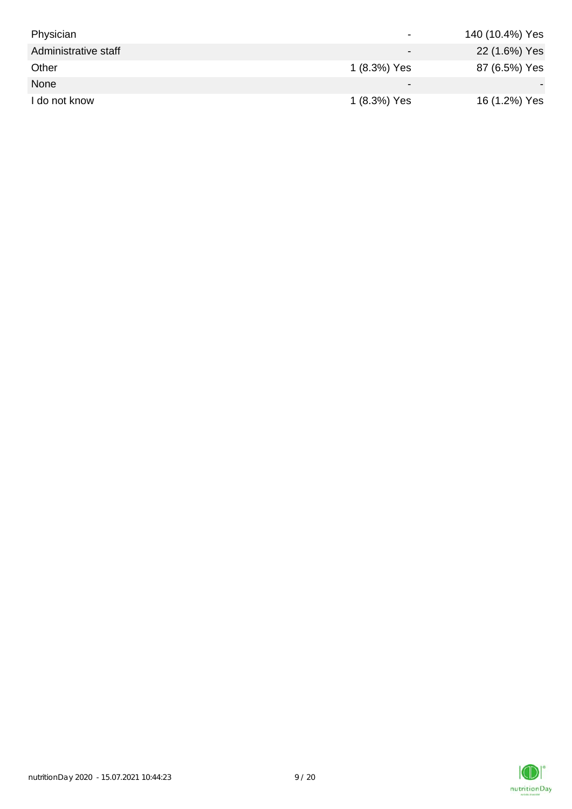| Physician            | $\overline{\phantom{0}}$ | 140 (10.4%) Yes |
|----------------------|--------------------------|-----------------|
| Administrative staff | $\overline{\phantom{0}}$ | 22 (1.6%) Yes   |
| Other                | 1 (8.3%) Yes             | 87 (6.5%) Yes   |
| None                 | $\overline{\phantom{0}}$ |                 |
| I do not know        | 1 (8.3%) Yes             | 16 (1.2%) Yes   |

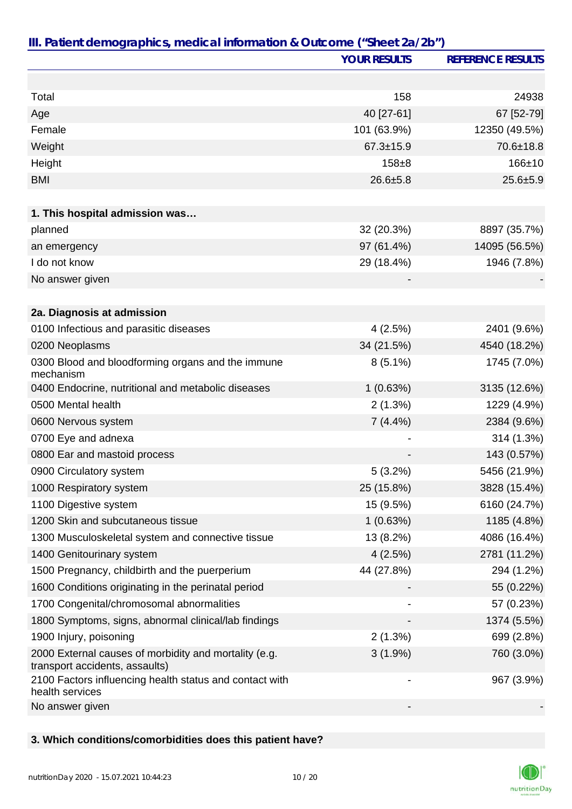|                                                                                         | <b>YOUR RESULTS</b>      | <b>REFERENCE RESULTS</b> |
|-----------------------------------------------------------------------------------------|--------------------------|--------------------------|
|                                                                                         |                          |                          |
| Total                                                                                   | 158                      | 24938                    |
| Age                                                                                     | 40 [27-61]               | 67 [52-79]               |
| Female                                                                                  | 101 (63.9%)              | 12350 (49.5%)            |
| Weight                                                                                  | $67.3 \pm 15.9$          | 70.6±18.8                |
| Height                                                                                  | $158 + 8$                | $166 + 10$               |
| <b>BMI</b>                                                                              | $26.6 + 5.8$             | $25.6 + 5.9$             |
|                                                                                         |                          |                          |
| 1. This hospital admission was                                                          |                          |                          |
| planned                                                                                 | 32 (20.3%)               | 8897 (35.7%)             |
| an emergency                                                                            | 97 (61.4%)               | 14095 (56.5%)            |
| I do not know                                                                           | 29 (18.4%)               | 1946 (7.8%)              |
| No answer given                                                                         |                          |                          |
|                                                                                         |                          |                          |
| 2a. Diagnosis at admission                                                              |                          |                          |
| 0100 Infectious and parasitic diseases                                                  | 4(2.5%)                  | 2401 (9.6%)              |
| 0200 Neoplasms                                                                          | 34 (21.5%)               | 4540 (18.2%)             |
| 0300 Blood and bloodforming organs and the immune<br>mechanism                          | $8(5.1\%)$               | 1745 (7.0%)              |
| 0400 Endocrine, nutritional and metabolic diseases                                      | 1(0.63%)                 | 3135 (12.6%)             |
| 0500 Mental health                                                                      | 2(1.3%)                  | 1229 (4.9%)              |
| 0600 Nervous system                                                                     | $7(4.4\%)$               | 2384 (9.6%)              |
| 0700 Eye and adnexa                                                                     |                          | 314 (1.3%)               |
| 0800 Ear and mastoid process                                                            |                          | 143 (0.57%)              |
| 0900 Circulatory system                                                                 | 5(3.2%)                  | 5456 (21.9%)             |
| 1000 Respiratory system                                                                 | 25 (15.8%)               | 3828 (15.4%)             |
| 1100 Digestive system                                                                   | 15 (9.5%)                | 6160 (24.7%)             |
| 1200 Skin and subcutaneous tissue                                                       | 1(0.63%)                 | 1185 (4.8%)              |
| 1300 Musculoskeletal system and connective tissue                                       | 13 (8.2%)                | 4086 (16.4%)             |
| 1400 Genitourinary system                                                               | 4(2.5%)                  | 2781 (11.2%)             |
| 1500 Pregnancy, childbirth and the puerperium                                           | 44 (27.8%)               | 294 (1.2%)               |
| 1600 Conditions originating in the perinatal period                                     |                          | 55 (0.22%)               |
| 1700 Congenital/chromosomal abnormalities                                               |                          | 57 (0.23%)               |
| 1800 Symptoms, signs, abnormal clinical/lab findings                                    |                          | 1374 (5.5%)              |
| 1900 Injury, poisoning                                                                  | 2(1.3%)                  | 699 (2.8%)               |
| 2000 External causes of morbidity and mortality (e.g.<br>transport accidents, assaults) | $3(1.9\%)$               | 760 (3.0%)               |
| 2100 Factors influencing health status and contact with<br>health services              | $\overline{\phantom{a}}$ | 967 (3.9%)               |
| No answer given                                                                         |                          |                          |

### **3. Which conditions/comorbidities does this patient have?**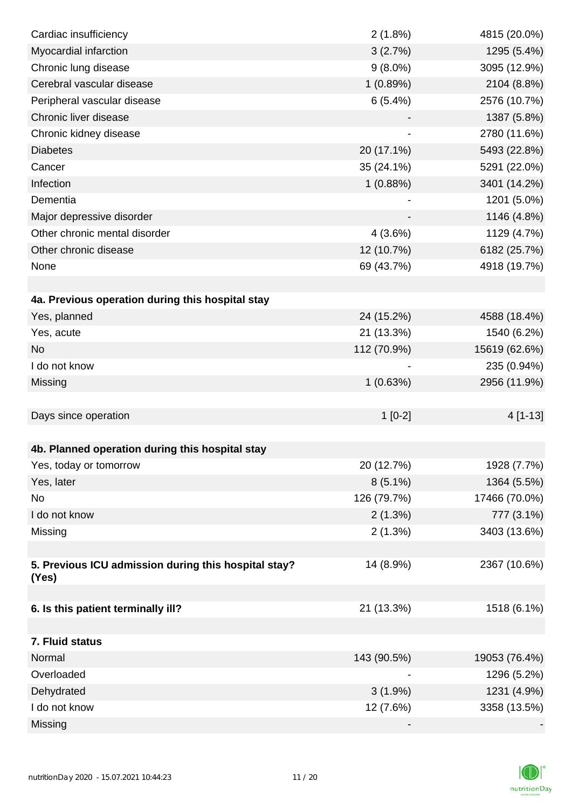| Cardiac insufficiency                                | 2(1.8%)     | 4815 (20.0%)  |
|------------------------------------------------------|-------------|---------------|
| Myocardial infarction                                | 3(2.7%)     | 1295 (5.4%)   |
| Chronic lung disease                                 | $9(8.0\%)$  | 3095 (12.9%)  |
| Cerebral vascular disease                            | 1(0.89%)    | 2104 (8.8%)   |
| Peripheral vascular disease                          | 6(5.4%)     | 2576 (10.7%)  |
| Chronic liver disease                                |             | 1387 (5.8%)   |
| Chronic kidney disease                               |             | 2780 (11.6%)  |
| <b>Diabetes</b>                                      | 20 (17.1%)  | 5493 (22.8%)  |
| Cancer                                               | 35 (24.1%)  | 5291 (22.0%)  |
| Infection                                            | 1(0.88%)    | 3401 (14.2%)  |
| Dementia                                             |             | 1201 (5.0%)   |
| Major depressive disorder                            |             | 1146 (4.8%)   |
| Other chronic mental disorder                        | 4(3.6%)     | 1129 (4.7%)   |
| Other chronic disease                                | 12 (10.7%)  | 6182 (25.7%)  |
| None                                                 | 69 (43.7%)  | 4918 (19.7%)  |
|                                                      |             |               |
| 4a. Previous operation during this hospital stay     |             |               |
| Yes, planned                                         | 24 (15.2%)  | 4588 (18.4%)  |
| Yes, acute                                           | 21 (13.3%)  | 1540 (6.2%)   |
| <b>No</b>                                            | 112 (70.9%) | 15619 (62.6%) |
| I do not know                                        |             | 235 (0.94%)   |
| Missing                                              | 1(0.63%)    | 2956 (11.9%)  |
|                                                      |             |               |
| Days since operation                                 | $1[0-2]$    | 4 [1-13]      |
|                                                      |             |               |
| 4b. Planned operation during this hospital stay      |             |               |
| Yes, today or tomorrow                               | 20 (12.7%)  | 1928 (7.7%)   |
| Yes, later                                           | $8(5.1\%)$  | 1364 (5.5%)   |
| No                                                   | 126 (79.7%) | 17466 (70.0%) |
| I do not know                                        | 2(1.3%)     | 777 (3.1%)    |
| Missing                                              | 2(1.3%)     | 3403 (13.6%)  |
|                                                      |             |               |
| 5. Previous ICU admission during this hospital stay? | 14 (8.9%)   | 2367 (10.6%)  |
| (Yes)                                                |             |               |
|                                                      |             |               |
| 6. Is this patient terminally ill?                   | 21 (13.3%)  | 1518 (6.1%)   |
|                                                      |             |               |
| 7. Fluid status<br>Normal                            |             | 19053 (76.4%) |
| Overloaded                                           | 143 (90.5%) |               |
|                                                      |             | 1296 (5.2%)   |
| Dehydrated                                           | $3(1.9\%)$  | 1231 (4.9%)   |
| I do not know                                        | 12 (7.6%)   | 3358 (13.5%)  |
| Missing                                              |             |               |

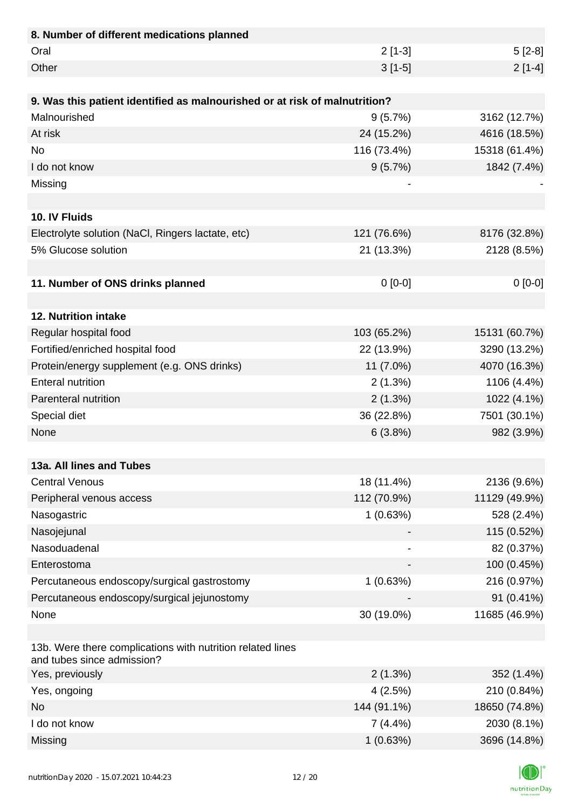| 8. Number of different medications planned                                               |                          |               |
|------------------------------------------------------------------------------------------|--------------------------|---------------|
| Oral                                                                                     | $2[1-3]$                 | $5[2-8]$      |
| Other                                                                                    | $3[1-5]$                 | $2[1-4]$      |
|                                                                                          |                          |               |
| 9. Was this patient identified as malnourished or at risk of malnutrition?               |                          |               |
| Malnourished                                                                             | 9(5.7%)                  | 3162 (12.7%)  |
| At risk                                                                                  | 24 (15.2%)               | 4616 (18.5%)  |
| <b>No</b>                                                                                | 116 (73.4%)              | 15318 (61.4%) |
| I do not know                                                                            | 9(5.7%)                  | 1842 (7.4%)   |
| Missing                                                                                  |                          |               |
|                                                                                          |                          |               |
| 10. IV Fluids                                                                            |                          |               |
| Electrolyte solution (NaCl, Ringers lactate, etc)                                        | 121 (76.6%)              | 8176 (32.8%)  |
| 5% Glucose solution                                                                      | 21 (13.3%)               | 2128 (8.5%)   |
|                                                                                          |                          |               |
| 11. Number of ONS drinks planned                                                         | $0[0-0]$                 | $0[0-0]$      |
|                                                                                          |                          |               |
| 12. Nutrition intake                                                                     |                          |               |
| Regular hospital food                                                                    | 103 (65.2%)              | 15131 (60.7%) |
| Fortified/enriched hospital food                                                         | 22 (13.9%)               | 3290 (13.2%)  |
| Protein/energy supplement (e.g. ONS drinks)                                              | 11 (7.0%)                | 4070 (16.3%)  |
| <b>Enteral nutrition</b>                                                                 | 2(1.3%)                  | 1106 (4.4%)   |
| Parenteral nutrition                                                                     | 2(1.3%)                  | 1022 (4.1%)   |
| Special diet                                                                             | 36 (22.8%)               | 7501 (30.1%)  |
| None                                                                                     | 6(3.8%)                  | 982 (3.9%)    |
|                                                                                          |                          |               |
| 13a. All lines and Tubes                                                                 |                          |               |
| <b>Central Venous</b>                                                                    | 18 (11.4%)               | 2136 (9.6%)   |
| Peripheral venous access                                                                 | 112 (70.9%)              | 11129 (49.9%) |
| Nasogastric                                                                              | 1(0.63%)                 | 528 (2.4%)    |
| Nasojejunal                                                                              |                          | 115 (0.52%)   |
| Nasoduadenal                                                                             | $\overline{\phantom{a}}$ | 82 (0.37%)    |
| Enterostoma                                                                              |                          | 100 (0.45%)   |
| Percutaneous endoscopy/surgical gastrostomy                                              | 1(0.63%)                 | 216 (0.97%)   |
| Percutaneous endoscopy/surgical jejunostomy                                              |                          | 91 (0.41%)    |
| None                                                                                     | 30 (19.0%)               | 11685 (46.9%) |
|                                                                                          |                          |               |
| 13b. Were there complications with nutrition related lines<br>and tubes since admission? |                          |               |
| Yes, previously                                                                          | 2(1.3%)                  | 352 (1.4%)    |
| Yes, ongoing                                                                             | 4(2.5%)                  | 210 (0.84%)   |
| <b>No</b>                                                                                | 144 (91.1%)              | 18650 (74.8%) |
| I do not know                                                                            | $7(4.4\%)$               | 2030 (8.1%)   |
| Missing                                                                                  | 1(0.63%)                 | 3696 (14.8%)  |

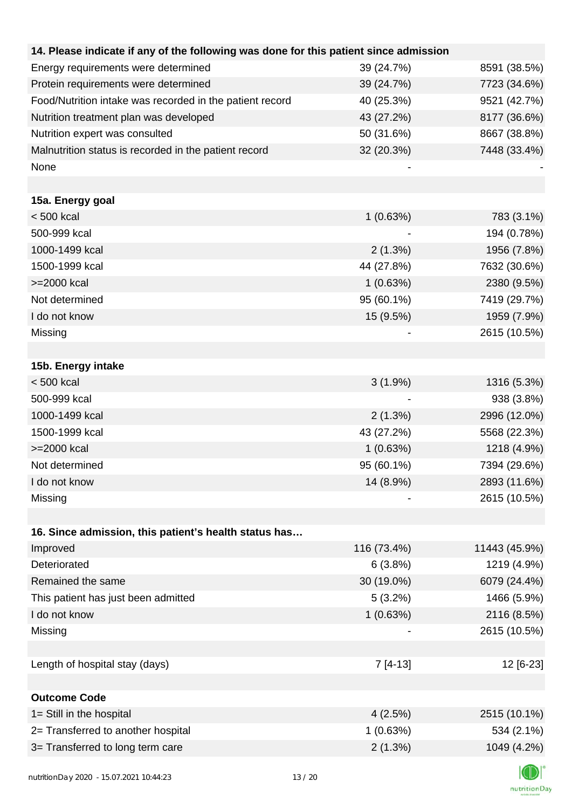| 14. Please indicate if any of the following was done for this patient since admission |             |               |
|---------------------------------------------------------------------------------------|-------------|---------------|
| Energy requirements were determined                                                   | 39 (24.7%)  | 8591 (38.5%)  |
| Protein requirements were determined                                                  | 39 (24.7%)  | 7723 (34.6%)  |
| Food/Nutrition intake was recorded in the patient record                              | 40 (25.3%)  | 9521 (42.7%)  |
| Nutrition treatment plan was developed                                                | 43 (27.2%)  | 8177 (36.6%)  |
| Nutrition expert was consulted                                                        | 50 (31.6%)  | 8667 (38.8%)  |
| Malnutrition status is recorded in the patient record                                 | 32 (20.3%)  | 7448 (33.4%)  |
| None                                                                                  |             |               |
|                                                                                       |             |               |
| 15a. Energy goal                                                                      |             |               |
| < 500 kcal                                                                            | 1(0.63%)    | 783 (3.1%)    |
| 500-999 kcal                                                                          |             | 194 (0.78%)   |
| 1000-1499 kcal                                                                        | 2(1.3%)     | 1956 (7.8%)   |
| 1500-1999 kcal                                                                        | 44 (27.8%)  | 7632 (30.6%)  |
| >=2000 kcal                                                                           | 1(0.63%)    | 2380 (9.5%)   |
| Not determined                                                                        | 95 (60.1%)  | 7419 (29.7%)  |
| I do not know                                                                         | 15 (9.5%)   | 1959 (7.9%)   |
| Missing                                                                               |             | 2615 (10.5%)  |
|                                                                                       |             |               |
| 15b. Energy intake                                                                    |             |               |
| $< 500$ kcal                                                                          | $3(1.9\%)$  | 1316 (5.3%)   |
| 500-999 kcal                                                                          |             | 938 (3.8%)    |
| 1000-1499 kcal                                                                        | 2(1.3%)     | 2996 (12.0%)  |
| 1500-1999 kcal                                                                        | 43 (27.2%)  | 5568 (22.3%)  |
| >=2000 kcal                                                                           | 1(0.63%)    | 1218 (4.9%)   |
| Not determined                                                                        | 95 (60.1%)  | 7394 (29.6%)  |
| I do not know                                                                         | 14 (8.9%)   | 2893 (11.6%)  |
| Missing                                                                               |             | 2615 (10.5%)  |
|                                                                                       |             |               |
| 16. Since admission, this patient's health status has                                 |             |               |
| Improved                                                                              | 116 (73.4%) | 11443 (45.9%) |
| Deteriorated                                                                          | 6(3.8%)     | 1219 (4.9%)   |
| Remained the same                                                                     | 30 (19.0%)  | 6079 (24.4%)  |
| This patient has just been admitted                                                   | 5(3.2%)     | 1466 (5.9%)   |
| I do not know                                                                         | 1(0.63%)    | 2116 (8.5%)   |
| Missing                                                                               |             | 2615 (10.5%)  |
|                                                                                       |             |               |
| Length of hospital stay (days)                                                        | $7[4-13]$   | 12 [6-23]     |
|                                                                                       |             |               |
| <b>Outcome Code</b>                                                                   |             |               |
| 1= Still in the hospital                                                              | 4(2.5%)     | 2515 (10.1%)  |
| 2= Transferred to another hospital                                                    | 1(0.63%)    | 534 (2.1%)    |
| 3= Transferred to long term care                                                      | 2(1.3%)     | 1049 (4.2%)   |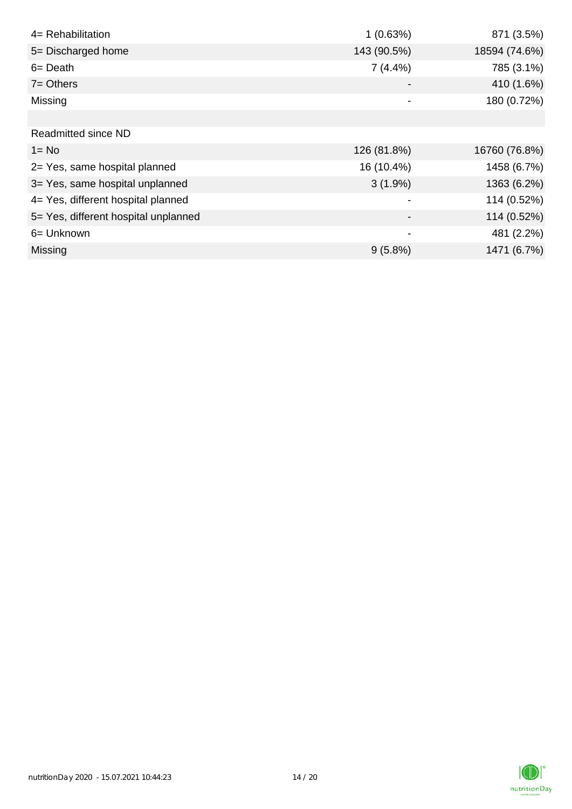| 4= Rehabilitation                    | 1(0.63%)    | 871 (3.5%)    |
|--------------------------------------|-------------|---------------|
| 5= Discharged home                   | 143 (90.5%) | 18594 (74.6%) |
| $6 = Death$                          | $7(4.4\%)$  | 785 (3.1%)    |
| $7 =$ Others                         |             | 410 (1.6%)    |
| Missing                              |             | 180 (0.72%)   |
|                                      |             |               |
| <b>Readmitted since ND</b>           |             |               |
| $1 = No$                             | 126 (81.8%) | 16760 (76.8%) |
| 2= Yes, same hospital planned        | 16 (10.4%)  | 1458 (6.7%)   |
| 3= Yes, same hospital unplanned      | $3(1.9\%)$  | 1363 (6.2%)   |
| 4= Yes, different hospital planned   |             | 114 (0.52%)   |
| 5= Yes, different hospital unplanned |             | 114 (0.52%)   |
| 6= Unknown                           | -           | 481 (2.2%)    |
| <b>Missing</b>                       | $9(5.8\%)$  | 1471 (6.7%)   |

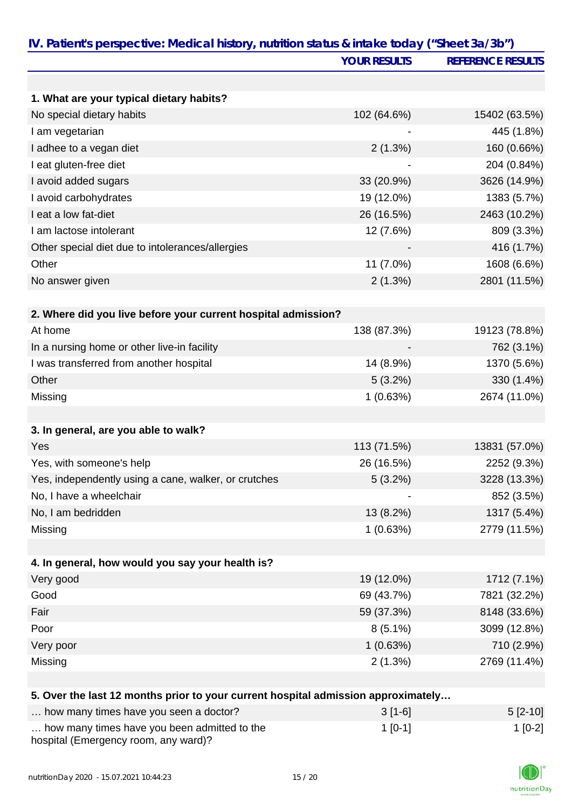|                                                                                   | <b>YOUR RESULTS</b> | <b>REFERENCE RESULTS</b> |
|-----------------------------------------------------------------------------------|---------------------|--------------------------|
|                                                                                   |                     |                          |
| 1. What are your typical dietary habits?                                          |                     |                          |
| No special dietary habits                                                         | 102 (64.6%)         | 15402 (63.5%)            |
| I am vegetarian                                                                   |                     | 445 (1.8%)               |
| I adhee to a vegan diet                                                           | 2(1.3%)             | 160 (0.66%)              |
| I eat gluten-free diet                                                            |                     | 204 (0.84%)              |
| I avoid added sugars                                                              | 33 (20.9%)          | 3626 (14.9%)             |
| I avoid carbohydrates                                                             | 19 (12.0%)          | 1383 (5.7%)              |
| I eat a low fat-diet                                                              | 26 (16.5%)          | 2463 (10.2%)             |
| I am lactose intolerant                                                           | 12 (7.6%)           | 809 (3.3%)               |
| Other special diet due to intolerances/allergies                                  |                     | 416 (1.7%)               |
| Other                                                                             | 11 (7.0%)           | 1608 (6.6%)              |
| No answer given                                                                   | 2(1.3%)             | 2801 (11.5%)             |
|                                                                                   |                     |                          |
| 2. Where did you live before your current hospital admission?<br>At home          |                     |                          |
|                                                                                   | 138 (87.3%)         | 19123 (78.8%)            |
| In a nursing home or other live-in facility                                       |                     | 762 (3.1%)               |
| I was transferred from another hospital                                           | 14 (8.9%)           | 1370 (5.6%)              |
| Other                                                                             | $5(3.2\%)$          | 330 (1.4%)               |
| Missing                                                                           | 1(0.63%)            | 2674 (11.0%)             |
|                                                                                   |                     |                          |
| 3. In general, are you able to walk?                                              |                     |                          |
| Yes                                                                               | 113 (71.5%)         | 13831 (57.0%)            |
| Yes, with someone's help                                                          | 26 (16.5%)          | 2252 (9.3%)              |
| Yes, independently using a cane, walker, or crutches                              | 5(3.2%)             | 3228 (13.3%)             |
| No, I have a wheelchair                                                           |                     | 852 (3.5%)               |
| No, I am bedridden                                                                | 13 (8.2%)           | 1317 (5.4%)              |
| Missing                                                                           | 1(0.63%)            | 2779 (11.5%)             |
| 4. In general, how would you say your health is?                                  |                     |                          |
| Very good                                                                         | 19 (12.0%)          | 1712 (7.1%)              |
| Good                                                                              | 69 (43.7%)          | 7821 (32.2%)             |
| Fair                                                                              | 59 (37.3%)          | 8148 (33.6%)             |
| Poor                                                                              | $8(5.1\%)$          | 3099 (12.8%)             |
| Very poor                                                                         | 1(0.63%)            | 710 (2.9%)               |
| Missing                                                                           | 2(1.3%)             | 2769 (11.4%)             |
|                                                                                   |                     |                          |
| 5. Over the last 12 months prior to your current hospital admission approximately |                     |                          |

| how many times have you seen a doctor?                                               | $3[1-6]$ | $5 [2-10]$ |
|--------------------------------------------------------------------------------------|----------|------------|
| how many times have you been admitted to the<br>hospital (Emergency room, any ward)? | 1 [0-1]  | $1$ [0-2]  |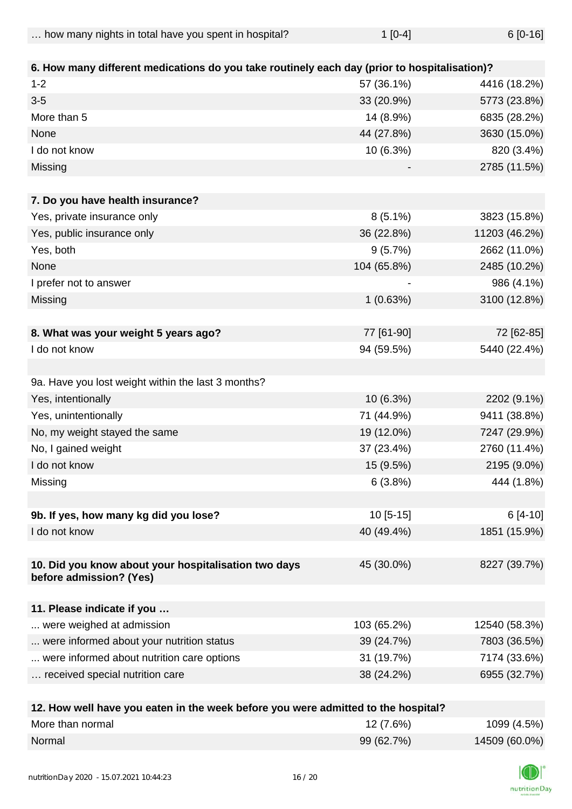$\ldots$  how many nights in total have you spent in hospital?  $1$  [0-4]  $6$  [0-16]

| 6. How many different medications do you take routinely each day (prior to hospitalisation)? |             |               |
|----------------------------------------------------------------------------------------------|-------------|---------------|
| $1 - 2$                                                                                      | 57 (36.1%)  | 4416 (18.2%)  |
| $3-5$                                                                                        | 33 (20.9%)  | 5773 (23.8%)  |
| More than 5                                                                                  | 14 (8.9%)   | 6835 (28.2%)  |
| None                                                                                         | 44 (27.8%)  | 3630 (15.0%)  |
| I do not know                                                                                | 10 (6.3%)   | 820 (3.4%)    |
| Missing                                                                                      |             | 2785 (11.5%)  |
|                                                                                              |             |               |
| 7. Do you have health insurance?                                                             |             |               |
| Yes, private insurance only                                                                  | $8(5.1\%)$  | 3823 (15.8%)  |
| Yes, public insurance only                                                                   | 36 (22.8%)  | 11203 (46.2%) |
| Yes, both                                                                                    | 9(5.7%)     | 2662 (11.0%)  |
| None                                                                                         | 104 (65.8%) | 2485 (10.2%)  |
| I prefer not to answer                                                                       |             | 986 (4.1%)    |
| Missing                                                                                      | 1(0.63%)    | 3100 (12.8%)  |
|                                                                                              |             |               |
| 8. What was your weight 5 years ago?                                                         | 77 [61-90]  | 72 [62-85]    |
| I do not know                                                                                | 94 (59.5%)  | 5440 (22.4%)  |
|                                                                                              |             |               |
| 9a. Have you lost weight within the last 3 months?                                           |             |               |
| Yes, intentionally                                                                           | 10 (6.3%)   | 2202 (9.1%)   |
| Yes, unintentionally                                                                         | 71 (44.9%)  | 9411 (38.8%)  |
| No, my weight stayed the same                                                                | 19 (12.0%)  | 7247 (29.9%)  |
| No, I gained weight                                                                          | 37 (23.4%)  | 2760 (11.4%)  |
| I do not know                                                                                | 15 (9.5%)   | 2195 (9.0%)   |
| Missing                                                                                      | 6(3.8%)     | 444 (1.8%)    |
|                                                                                              |             |               |
| 9b. If yes, how many kg did you lose?                                                        | $10[5-15]$  | $6[4-10]$     |
| I do not know                                                                                | 40 (49.4%)  | 1851 (15.9%)  |
|                                                                                              |             |               |
| 10. Did you know about your hospitalisation two days                                         | 45 (30.0%)  | 8227 (39.7%)  |
| before admission? (Yes)                                                                      |             |               |
| 11. Please indicate if you                                                                   |             |               |
|                                                                                              |             |               |
| were weighed at admission                                                                    | 103 (65.2%) | 12540 (58.3%) |
| were informed about your nutrition status                                                    | 39 (24.7%)  | 7803 (36.5%)  |
| were informed about nutrition care options                                                   | 31 (19.7%)  | 7174 (33.6%)  |
| received special nutrition care                                                              | 38 (24.2%)  | 6955 (32.7%)  |
| 12 How well have you eaten in the week before you were admitted to the bosnitel?             |             |               |

| <b>12. How well have you eaten in the week before you were admitted to the hospital?</b> |             |               |
|------------------------------------------------------------------------------------------|-------------|---------------|
| More than normal                                                                         | $12(7.6\%)$ | 1099 (4.5%)   |
| Normal                                                                                   | 99 (62.7%)  | 14509 (60.0%) |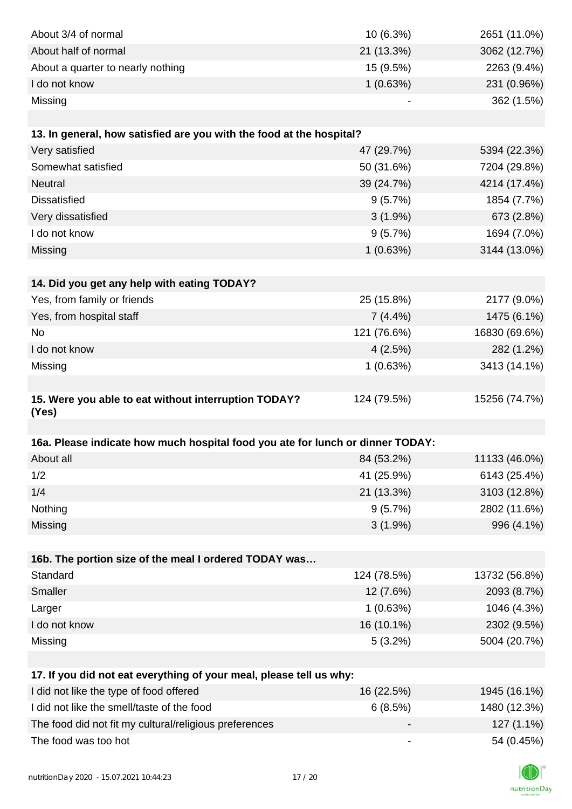| About 3/4 of normal                                                            | 10(6.3%)                     | 2651 (11.0%)  |
|--------------------------------------------------------------------------------|------------------------------|---------------|
| About half of normal                                                           | 21 (13.3%)                   | 3062 (12.7%)  |
| About a quarter to nearly nothing                                              | 15 (9.5%)                    | 2263 (9.4%)   |
| I do not know                                                                  | 1(0.63%)                     | 231 (0.96%)   |
| Missing                                                                        |                              | 362 (1.5%)    |
|                                                                                |                              |               |
| 13. In general, how satisfied are you with the food at the hospital?           |                              |               |
| Very satisfied                                                                 | 47 (29.7%)                   | 5394 (22.3%)  |
| Somewhat satisfied                                                             | 50 (31.6%)                   | 7204 (29.8%)  |
| Neutral                                                                        | 39 (24.7%)                   | 4214 (17.4%)  |
| <b>Dissatisfied</b>                                                            | 9(5.7%)                      | 1854 (7.7%)   |
| Very dissatisfied                                                              | $3(1.9\%)$                   | 673 (2.8%)    |
| I do not know                                                                  | 9(5.7%)                      | 1694 (7.0%)   |
| Missing                                                                        | 1(0.63%)                     | 3144 (13.0%)  |
|                                                                                |                              |               |
| 14. Did you get any help with eating TODAY?                                    |                              |               |
| Yes, from family or friends                                                    | 25 (15.8%)                   | 2177 (9.0%)   |
| Yes, from hospital staff                                                       | $7(4.4\%)$                   | 1475 (6.1%)   |
| No                                                                             | 121 (76.6%)                  | 16830 (69.6%) |
| I do not know                                                                  | 4(2.5%)                      | 282 (1.2%)    |
| Missing                                                                        | 1(0.63%)                     | 3413 (14.1%)  |
|                                                                                |                              |               |
| 15. Were you able to eat without interruption TODAY?                           | 124 (79.5%)                  | 15256 (74.7%) |
| (Yes)                                                                          |                              |               |
|                                                                                |                              |               |
| 16a. Please indicate how much hospital food you ate for lunch or dinner TODAY: |                              |               |
| About all                                                                      | 84 (53.2%)                   | 11133 (46.0%) |
| 1/2                                                                            | 41 (25.9%)                   | 6143 (25.4%)  |
| 1/4                                                                            | 21 (13.3%)                   | 3103 (12.8%)  |
| Nothing                                                                        | 9(5.7%)                      | 2802 (11.6%)  |
| Missing                                                                        | $3(1.9\%)$                   | 996 (4.1%)    |
|                                                                                |                              |               |
| 16b. The portion size of the meal I ordered TODAY was                          |                              |               |
| Standard                                                                       | 124 (78.5%)                  | 13732 (56.8%) |
| Smaller                                                                        | 12 (7.6%)                    | 2093 (8.7%)   |
| Larger                                                                         | 1(0.63%)                     | 1046 (4.3%)   |
| I do not know                                                                  | 16 (10.1%)                   | 2302 (9.5%)   |
| Missing                                                                        | 5(3.2%)                      | 5004 (20.7%)  |
|                                                                                |                              |               |
| 17. If you did not eat everything of your meal, please tell us why:            |                              |               |
| I did not like the type of food offered                                        | 16 (22.5%)                   | 1945 (16.1%)  |
| I did not like the smell/taste of the food                                     | 6(8.5%)                      | 1480 (12.3%)  |
| The food did not fit my cultural/religious preferences                         |                              | 127 (1.1%)    |
| The food was too hot                                                           | $\qquad \qquad \blacksquare$ | 54 (0.45%)    |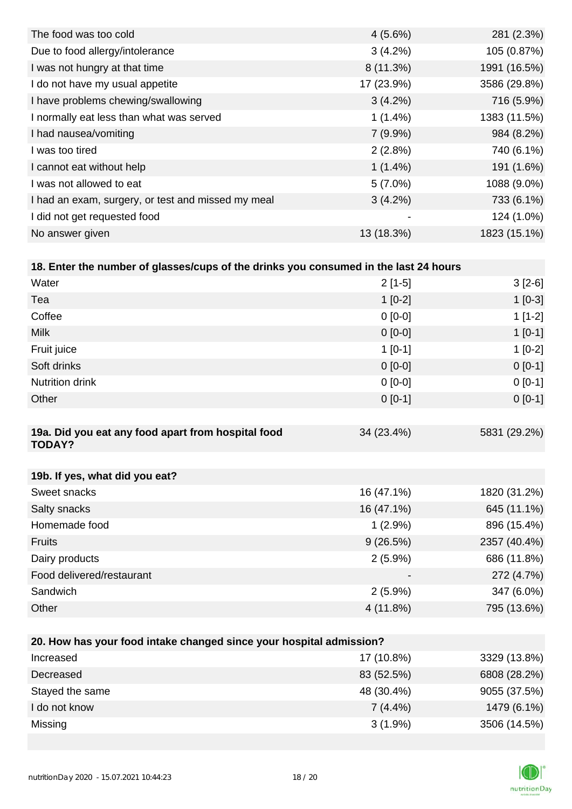| The food was too cold                              | $4(5.6\%)$               | 281 (2.3%)   |
|----------------------------------------------------|--------------------------|--------------|
| Due to food allergy/intolerance                    | 3(4.2%)                  | 105 (0.87%)  |
| I was not hungry at that time                      | $8(11.3\%)$              | 1991 (16.5%) |
| I do not have my usual appetite                    | 17 (23.9%)               | 3586 (29.8%) |
| I have problems chewing/swallowing                 | $3(4.2\%)$               | 716 (5.9%)   |
| I normally eat less than what was served           | $1(1.4\%)$               | 1383 (11.5%) |
| I had nausea/vomiting                              | $7(9.9\%)$               | 984 (8.2%)   |
| I was too tired                                    | 2(2.8%)                  | 740 (6.1%)   |
| I cannot eat without help                          | $1(1.4\%)$               | 191 (1.6%)   |
| I was not allowed to eat                           | $5(7.0\%)$               | 1088 (9.0%)  |
| I had an exam, surgery, or test and missed my meal | $3(4.2\%)$               | 733 (6.1%)   |
| I did not get requested food                       | $\overline{\phantom{0}}$ | 124 (1.0%)   |
| No answer given                                    | 13 (18.3%)               | 1823 (15.1%) |

| 18. Enter the number of glasses/cups of the drinks you consumed in the last 24 hours |           |           |
|--------------------------------------------------------------------------------------|-----------|-----------|
| Water                                                                                | $2[1-5]$  | $3[2-6]$  |
| Tea                                                                                  | $1[0-2]$  | $1$ [0-3] |
| Coffee                                                                               | $0[0-0]$  | $1[1-2]$  |
| <b>Milk</b>                                                                          | $0 [0-0]$ | $1$ [0-1] |
| Fruit juice                                                                          | $1[0-1]$  | $1[0-2]$  |
| Soft drinks                                                                          | $0 [0-0]$ | $0[0-1]$  |
| <b>Nutrition drink</b>                                                               | $0 [0-0]$ | $0[0-1]$  |
| Other                                                                                | $0[0-1]$  | $0[0-1]$  |

| 19a. Did you eat any food apart from hospital food<br><b>TODAY?</b> | 34 (23.4%)               | 5831 (29.2%) |
|---------------------------------------------------------------------|--------------------------|--------------|
|                                                                     |                          |              |
| 19b. If yes, what did you eat?                                      |                          |              |
| Sweet snacks                                                        | 16 (47.1%)               | 1820 (31.2%) |
| Salty snacks                                                        | 16 (47.1%)               | 645 (11.1%)  |
| Homemade food                                                       | $1(2.9\%)$               | 896 (15.4%)  |
| <b>Fruits</b>                                                       | 9(26.5%)                 | 2357 (40.4%) |
| Dairy products                                                      | $2(5.9\%)$               | 686 (11.8%)  |
| Food delivered/restaurant                                           | $\overline{\phantom{a}}$ | 272 (4.7%)   |
| Sandwich                                                            | $2(5.9\%)$               | 347 (6.0%)   |
| Other                                                               | 4 (11.8%)                | 795 (13.6%)  |

| 20. How has your food intake changed since your hospital admission? |            |              |  |  |
|---------------------------------------------------------------------|------------|--------------|--|--|
| Increased                                                           | 17 (10.8%) | 3329 (13.8%) |  |  |
| Decreased                                                           | 83 (52.5%) | 6808 (28.2%) |  |  |
| Stayed the same                                                     | 48 (30.4%) | 9055 (37.5%) |  |  |
| I do not know                                                       | $7(4.4\%)$ | 1479 (6.1%)  |  |  |
| Missing                                                             | $3(1.9\%)$ | 3506 (14.5%) |  |  |
|                                                                     |            |              |  |  |

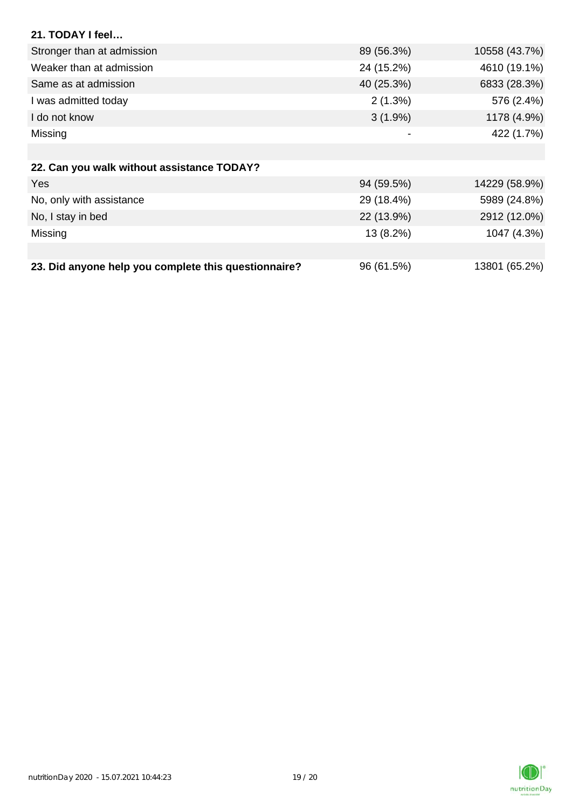| 21. TODAY I feel                           |            |               |
|--------------------------------------------|------------|---------------|
| Stronger than at admission                 | 89 (56.3%) | 10558 (43.7%) |
| Weaker than at admission                   | 24 (15.2%) | 4610 (19.1%)  |
| Same as at admission                       | 40 (25.3%) | 6833 (28.3%)  |
| I was admitted today                       | 2(1.3%)    | 576 (2.4%)    |
| I do not know                              | $3(1.9\%)$ | 1178 (4.9%)   |
| Missing                                    | -          | 422 (1.7%)    |
|                                            |            |               |
| 22. Can you walk without assistance TODAY? |            |               |
| Yes                                        | 94 (59.5%) | 14229 (58.9%) |
| No, only with assistance                   | 29 (18.4%) | 5989 (24.8%)  |
| No, I stay in bed                          | 22 (13.9%) | 2912 (12.0%)  |
| Missing                                    | 13 (8.2%)  | 1047 (4.3%)   |
|                                            |            |               |

| 23. Did anyone help you complete this questionnaire? | 96 (61.5%) | 13801 (65.2%) |  |
|------------------------------------------------------|------------|---------------|--|